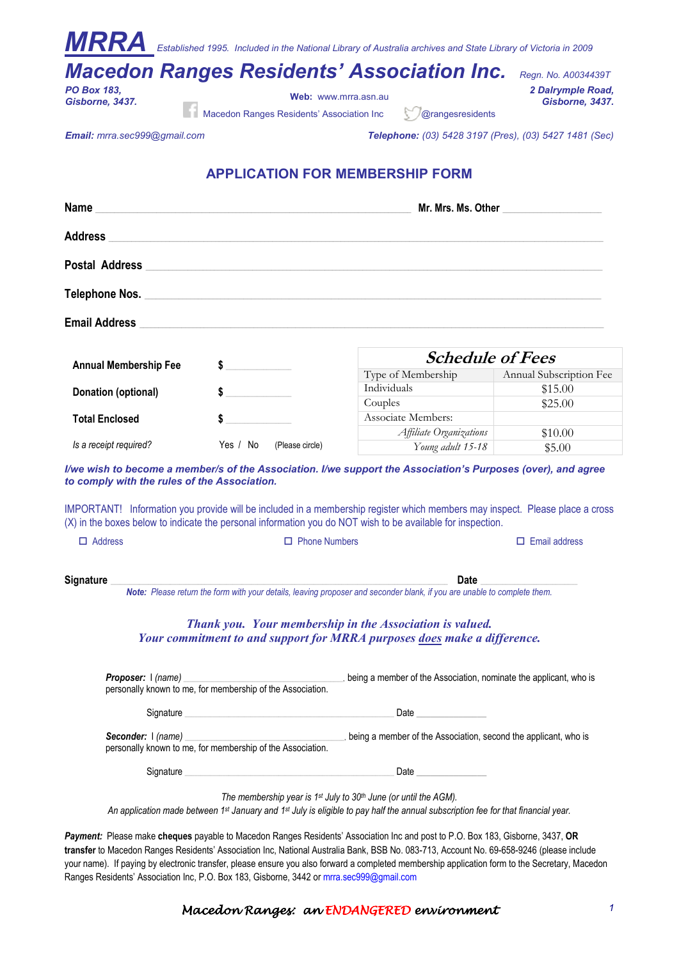|                                                                                                                                                      |                                                                                | <b>MRRA</b> Established 1995. Included in the National Library of Australia archives and State Library of Victoria in 2009<br><b>Macedon Ranges Residents' Association Inc.</b>                                                                                            | Regn. No. A0034439T     |
|------------------------------------------------------------------------------------------------------------------------------------------------------|--------------------------------------------------------------------------------|----------------------------------------------------------------------------------------------------------------------------------------------------------------------------------------------------------------------------------------------------------------------------|-------------------------|
| <b>PO Box 183.</b>                                                                                                                                   |                                                                                |                                                                                                                                                                                                                                                                            | 2 Dalrymple Road,       |
| Gisborne, 3437.                                                                                                                                      | Web: www.mrra.asn.au                                                           |                                                                                                                                                                                                                                                                            | Gisborne, 3437.         |
|                                                                                                                                                      | Macedon Ranges Residents' Association Inc                                      | @rangesresidents                                                                                                                                                                                                                                                           |                         |
| Email: mrra.sec999@gmail.com                                                                                                                         |                                                                                | Telephone: (03) 5428 3197 (Pres), (03) 5427 1481 (Sec)                                                                                                                                                                                                                     |                         |
|                                                                                                                                                      | <b>APPLICATION FOR MEMBERSHIP FORM</b>                                         |                                                                                                                                                                                                                                                                            |                         |
|                                                                                                                                                      |                                                                                |                                                                                                                                                                                                                                                                            |                         |
| Address and the contract of the contract of the contract of the contract of the contract of the contract of the                                      |                                                                                |                                                                                                                                                                                                                                                                            |                         |
|                                                                                                                                                      |                                                                                | Postal Address Postal Address Provide a contract of the contract of the contract of the contract of the contract of the contract of the contract of the contract of the contract of the contract of the contract of the contra                                             |                         |
|                                                                                                                                                      |                                                                                |                                                                                                                                                                                                                                                                            |                         |
|                                                                                                                                                      |                                                                                |                                                                                                                                                                                                                                                                            |                         |
|                                                                                                                                                      |                                                                                | <b>Schedule of Fees</b>                                                                                                                                                                                                                                                    |                         |
| <b>Annual Membership Fee</b>                                                                                                                         | \$                                                                             | Type of Membership                                                                                                                                                                                                                                                         | Annual Subscription Fee |
| Donation (optional)                                                                                                                                  |                                                                                | Individuals                                                                                                                                                                                                                                                                | \$15.00                 |
|                                                                                                                                                      |                                                                                | Couples                                                                                                                                                                                                                                                                    | \$25.00                 |
| <b>Total Enclosed</b>                                                                                                                                | \$                                                                             | Associate Members:                                                                                                                                                                                                                                                         |                         |
| Is a receipt required?                                                                                                                               | Yes / No<br>(Please circle)                                                    | Affiliate Organizations                                                                                                                                                                                                                                                    | \$10.00                 |
|                                                                                                                                                      |                                                                                | Young adult 15-18                                                                                                                                                                                                                                                          | \$5.00                  |
| to comply with the rules of the Association.                                                                                                         |                                                                                | I/we wish to become a member/s of the Association. I/we support the Association's Purposes (over), and agree<br>IMPORTANT! Information you provide will be included in a membership register which members may inspect. Please place a cross                               |                         |
|                                                                                                                                                      |                                                                                | (X) in the boxes below to indicate the personal information you do NOT wish to be available for inspection.                                                                                                                                                                |                         |
| $\Box$ Address                                                                                                                                       |                                                                                |                                                                                                                                                                                                                                                                            |                         |
|                                                                                                                                                      |                                                                                |                                                                                                                                                                                                                                                                            |                         |
| <b>Signature</b><br>Date<br>Note: Please return the form with your details, leaving proposer and seconder blank, if you are unable to complete them. |                                                                                |                                                                                                                                                                                                                                                                            |                         |
|                                                                                                                                                      |                                                                                |                                                                                                                                                                                                                                                                            |                         |
|                                                                                                                                                      |                                                                                | Thank you. Your membership in the Association is valued.<br>Your commitment to and support for MRRA purposes does make a difference.                                                                                                                                       |                         |
|                                                                                                                                                      |                                                                                |                                                                                                                                                                                                                                                                            |                         |
|                                                                                                                                                      |                                                                                | Signature entertainment and the Contract of the Contract of the Contract of the Contract of the Contract of the Contract of the Contract of the Contract of the Contract of the Contract of the Contract of the Contract of th                                             |                         |
|                                                                                                                                                      |                                                                                |                                                                                                                                                                                                                                                                            |                         |
|                                                                                                                                                      |                                                                                | Date                                                                                                                                                                                                                                                                       |                         |
|                                                                                                                                                      | The membership year is 1 <sup>st</sup> July to $30th$ June (or until the AGM). | An application made between 1 <sup>st</sup> January and 1 <sup>st</sup> July is eligible to pay half the annual subscription fee for that financial year.                                                                                                                  |                         |
|                                                                                                                                                      |                                                                                | Payment: Please make cheques payable to Macedon Ranges Residents' Association Inc and post to P.O. Box 183, Gisborne, 3437, OR<br>transfer to Macedon Ranges Residents' Association Inc, National Australia Bank, BSB No. 083-713, Account No. 69-658-9246 (please include |                         |

your name). If paying by electronic transfer, please ensure you also forward a completed membership application form to the Secretary, Macedon Ranges Residents' Association Inc, P.O. Box 183, Gisborne, 3442 or mrra.sec999@gmail.com